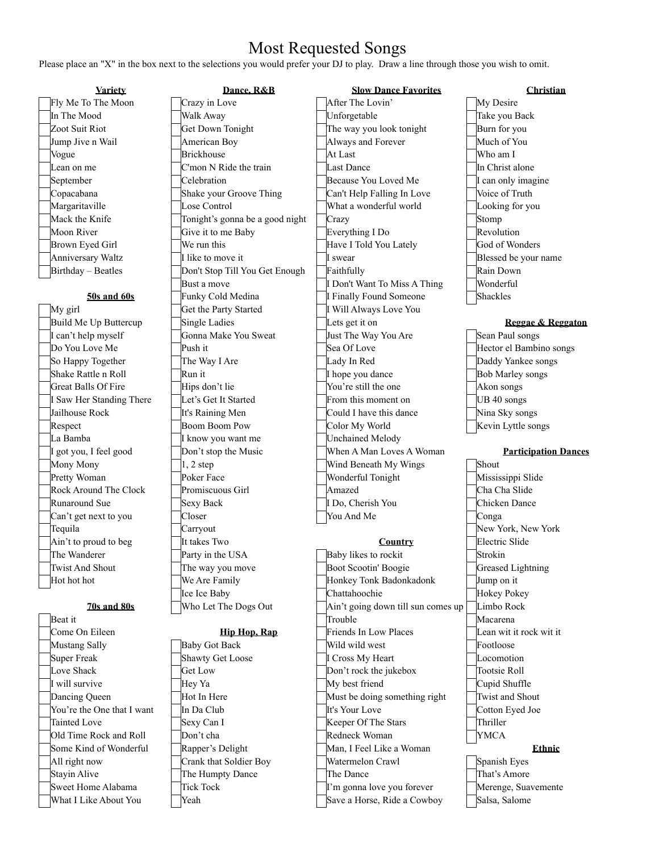## Most Requested Songs

Please place an "X" in the box next to the selections you would prefer your DJ to play. Draw a line through those you wish to omit.

|                    | <u>Variety</u> |
|--------------------|----------------|
| Fly Me To The Moo  |                |
| In The Mood        |                |
| Zoot Suit Riot     |                |
| Jump Jive n Wail   |                |
| Vogue              |                |
| Lean on me         |                |
| September          |                |
| Copacabana         |                |
| Margaritaville     |                |
| Mack the Knife     |                |
| Moon River         |                |
| Brown Eyed Girl    |                |
| Anniversary Waltz  |                |
| Birthday – Beatles |                |
|                    |                |

| тжаг н                     |
|----------------------------|
| Come On Eileen             |
| Mustang Sally              |
| Super Freak                |
| Love Shack                 |
| I will survive             |
| Dancing Queen              |
| You're the One that I want |
| Tainted Love               |
| Old Time Rock and Roll     |
| Some Kind of Wonderful     |
| All right now              |
| <b>Stayin Alive</b>        |
| Sweet Home Alabama         |
| What I Like About You      |

| Fly Me To The Moon                 | Crazy in Love                        | After The Lovin'                        | My Desire                           |
|------------------------------------|--------------------------------------|-----------------------------------------|-------------------------------------|
| In The Mood                        | Walk Away                            | Unforgetable                            | Take you Back                       |
| Zoot Suit Riot                     | Get Down Tonight                     | The way you look tonight                | Burn for you                        |
| Jump Jive n Wail                   | American Boy                         | Always and Forever                      | Much of You                         |
| Vogue                              | <b>Brickhouse</b>                    | At Last                                 | Who am I                            |
| Lean on me                         | C'mon N Ride the train               | <b>Last Dance</b>                       | In Christ alone                     |
| September                          | Celebration                          | Because You Loved Me                    | I can only imagine                  |
| Copacabana                         | Shake your Groove Thing              | Can't Help Falling In Love              | Voice of Truth                      |
| Margaritaville                     | Lose Control                         | What a wonderful world                  | Looking for you                     |
| Mack the Knife                     | Tonight's gonna be a good night      | Crazy                                   | Stomp                               |
| Moon River                         | Give it to me Baby                   | Everything I Do                         | Revolution                          |
| Brown Eyed Girl                    | We run this                          | Have I Told You Lately                  | God of Wonders                      |
| Anniversary Waltz                  | I like to move it                    | I swear                                 | Blessed be your name                |
| Birthday - Beatles                 | Don't Stop Till You Get Enough       | Faithfully                              | Rain Down                           |
|                                    | Bust a move                          | I Don't Want To Miss A Thing            | Wonderful                           |
| 50s and 60s                        | Funky Cold Medina                    | I Finally Found Someone                 | Shackles                            |
| My girl                            | Get the Party Started                | I Will Always Love You                  |                                     |
| Build Me Up Buttercup              | Single Ladies                        | Lets get it on                          | Reggae & Reggaton                   |
| I can't help myself                | Gonna Make You Sweat                 | Just The Way You Are                    | Sean Paul songs                     |
| Do You Love Me                     | Push it                              | Sea Of Love                             | Hector el Bambino songs             |
| So Happy Together                  | The Way I Are                        | Lady In Red                             | Daddy Yankee songs                  |
| Shake Rattle n Roll                | Run it                               | I hope you dance                        | <b>Bob Marley songs</b>             |
| Great Balls Of Fire                | Hips don't lie                       | You're still the one                    | Akon songs                          |
| Saw Her Standing There             | Let's Get It Started                 | From this moment on                     | UB 40 songs                         |
| Jailhouse Rock                     | It's Raining Men                     | Could I have this dance                 | Nina Sky songs                      |
| Respect                            | Boom Boom Pow                        | Color My World                          | Kevin Lyttle songs                  |
| La Bamba                           | I know you want me                   | <b>Unchained Melody</b>                 |                                     |
|                                    |                                      |                                         |                                     |
|                                    | Don't stop the Music                 | When A Man Loves A Woman                | <b>Participation Dances</b>         |
| got you, I feel good<br>Mony Mony  | $1, 2$ step                          | Wind Beneath My Wings                   | Shout                               |
| Pretty Woman                       | Poker Face                           | Wonderful Tonight                       | Mississippi Slide                   |
| Rock Around The Clock              | Promiscuous Girl                     | Amazed                                  | Cha Cha Slide                       |
| Runaround Sue                      | <b>Sexy Back</b>                     | I Do, Cherish You                       | Chicken Dance                       |
| Can't get next to you              | Closer                               | You And Me                              | Conga                               |
| Tequila                            | Carryout                             |                                         | New York, New York                  |
| Ain't to proud to beg              | It takes Two                         | Country                                 | Electric Slide                      |
| The Wanderer                       | Party in the USA                     | Baby likes to rockit                    | Strokin                             |
| <b>Twist And Shout</b>             | The way you move                     | Boot Scootin' Boogie                    | <b>Greased Lightning</b>            |
| Hot hot hot                        | We Are Family                        | Honkey Tonk Badonkadonk                 | Jump on it                          |
|                                    | Ice Ice Baby                         | Chattahoochie                           | Hokey Pokey                         |
| <b>70s and 80s</b>                 | Who Let The Dogs Out                 | Ain't going down till sun comes up      | Limbo Rock                          |
| Beat it                            |                                      | Trouble                                 | Macarena                            |
| Come On Eileen                     | Hip Hop, Rap                         | Friends In Low Places                   | Lean wit it rock wit it             |
| Mustang Sally                      | <b>Baby Got Back</b>                 | Wild wild west                          | Footloose                           |
| Super Freak                        | Shawty Get Loose                     | I Cross My Heart                        | Locomotion                          |
| Love Shack                         | Get Low                              | Don't rock the jukebox                  | Tootsie Roll                        |
| I will survive                     | Hey Ya                               | My best friend                          | Cupid Shuffle                       |
| Dancing Queen                      | Hot In Here                          | Must be doing something right           | Twist and Shout                     |
| You're the One that I want         | In Da Club                           | It's Your Love                          | Cotton Eyed Joe                     |
| Tainted Love                       | Sexy Can I                           | Keeper Of The Stars                     | Thriller                            |
| Old Time Rock and Roll             | Don't cha                            | Redneck Woman                           | <b>YMCA</b>                         |
| Some Kind of Wonderful             | Rapper's Delight                     | Man, I Feel Like a Woman                | <b>Ethnic</b>                       |
| All right now                      | Crank that Soldier Boy               | Watermelon Crawl                        | Spanish Eyes                        |
| Stayin Alive<br>Sweet Home Alabama | The Humpty Dance<br><b>Tick Tock</b> | The Dance<br>I'm gonna love you forever | That's Amore<br>Merenge, Suavemente |

- W Places **F**Lean wit it rock wit it d Cupid Shuffle g something right  $\Box$  Twist and Shout Example 1 **Crawl** Spanish Eyes e you forever Merenge, Suavemente What I Like About You Yeah Save a Horse, Ride a Cowboy Salsa, Salome
- Take you Back In Christ alone Blessed be your name Hokey Pokey

That's Amore